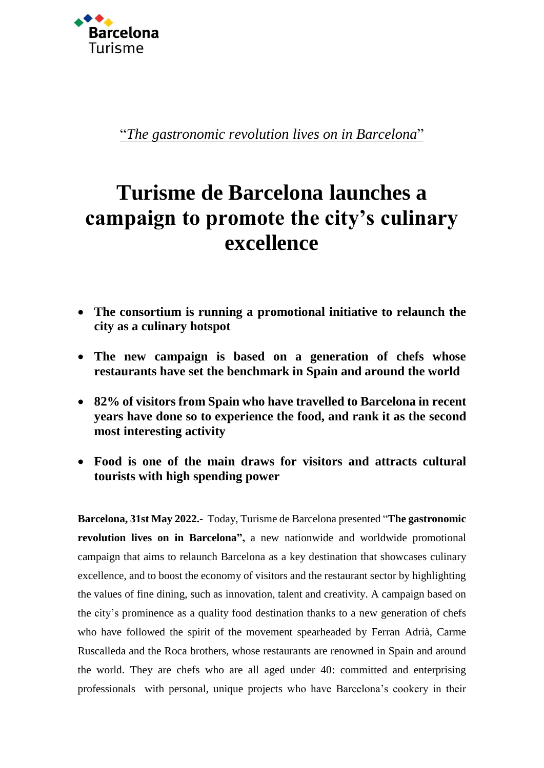

"*The gastronomic revolution lives on in Barcelona*"

# **Turisme de Barcelona launches a campaign to promote the city's culinary excellence**

- **The consortium is running a promotional initiative to relaunch the city as a culinary hotspot**
- **The new campaign is based on a generation of chefs whose restaurants have set the benchmark in Spain and around the world**
- **82% of visitors from Spain who have travelled to Barcelona in recent years have done so to experience the food, and rank it as the second most interesting activity**
- **Food is one of the main draws for visitors and attracts cultural tourists with high spending power**

**Barcelona, 31st May 2022.-** Today, Turisme de Barcelona presented "**The gastronomic revolution lives on in Barcelona",** a new nationwide and worldwide promotional campaign that aims to relaunch Barcelona as a key destination that showcases culinary excellence, and to boost the economy of visitors and the restaurant sector by highlighting the values of fine dining, such as innovation, talent and creativity. A campaign based on the city's prominence as a quality food destination thanks to a new generation of chefs who have followed the spirit of the movement spearheaded by Ferran Adrià, Carme Ruscalleda and the Roca brothers, whose restaurants are renowned in Spain and around the world. They are chefs who are all aged under 40: committed and enterprising professionals with personal, unique projects who have Barcelona's cookery in their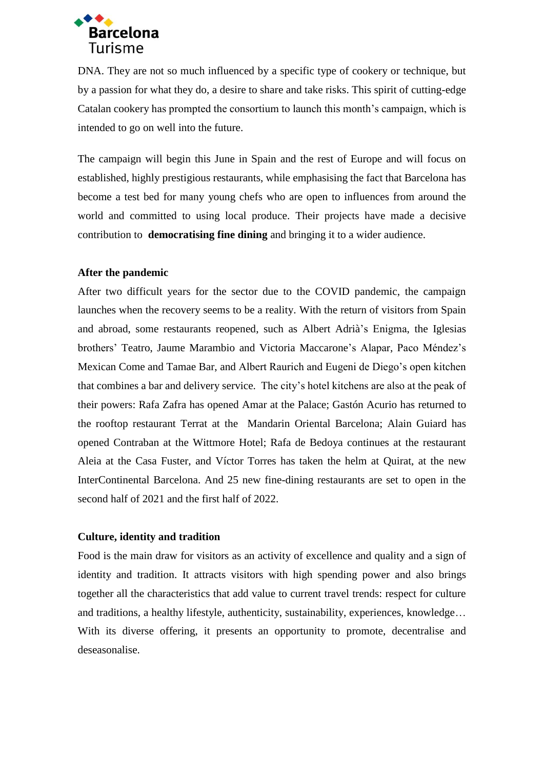

DNA. They are not so much influenced by a specific type of cookery or technique, but by a passion for what they do, a desire to share and take risks. This spirit of cutting-edge Catalan cookery has prompted the consortium to launch this month's campaign, which is intended to go on well into the future.

The campaign will begin this June in Spain and the rest of Europe and will focus on established, highly prestigious restaurants, while emphasising the fact that Barcelona has become a test bed for many young chefs who are open to influences from around the world and committed to using local produce. Their projects have made a decisive contribution to **democratising fine dining** and bringing it to a wider audience.

## **After the pandemic**

After two difficult years for the sector due to the COVID pandemic, the campaign launches when the recovery seems to be a reality. With the return of visitors from Spain and abroad, some restaurants reopened, such as Albert Adrià's Enigma, the Iglesias brothers' Teatro, Jaume Marambio and Victoria Maccarone's Alapar, Paco Méndez's Mexican Come and Tamae Bar, and Albert Raurich and Eugeni de Diego's open kitchen that combines a bar and delivery service. The city's hotel kitchens are also at the peak of their powers: Rafa Zafra has opened Amar at the Palace; Gastón Acurio has returned to the rooftop restaurant Terrat at the Mandarin Oriental Barcelona; Alain Guiard has opened Contraban at the Wittmore Hotel; Rafa de Bedoya continues at the restaurant Aleia at the Casa Fuster, and Víctor Torres has taken the helm at Quirat, at the new InterContinental Barcelona. And 25 new fine-dining restaurants are set to open in the second half of 2021 and the first half of 2022.

## **Culture, identity and tradition**

Food is the main draw for visitors as an activity of excellence and quality and a sign of identity and tradition. It attracts visitors with high spending power and also brings together all the characteristics that add value to current travel trends: respect for culture and traditions, a healthy lifestyle, authenticity, sustainability, experiences, knowledge… With its diverse offering, it presents an opportunity to promote, decentralise and deseasonalise.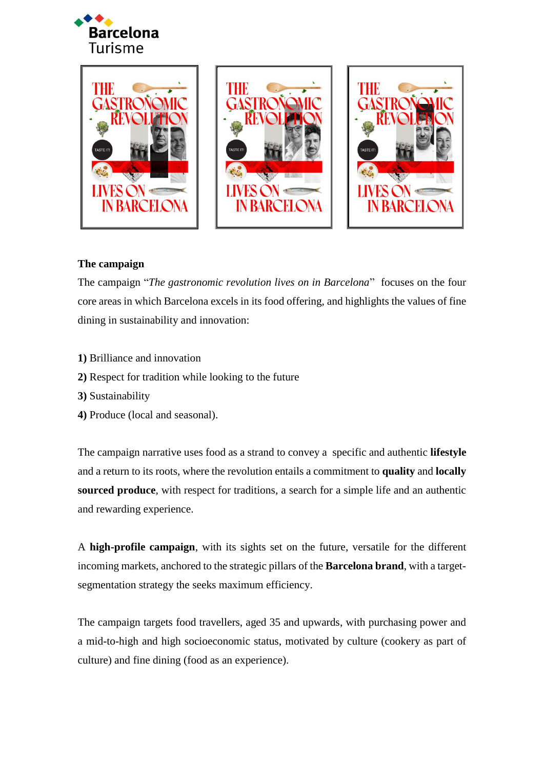







# **The campaign**

The campaign "*The gastronomic revolution lives on in Barcelona*" focuses on the four core areas in which Barcelona excels in its food offering, and highlights the values of fine dining in sustainability and innovation:

- **1)** Brilliance and innovation
- **2)** Respect for tradition while looking to the future
- **3)** Sustainability
- **4)** Produce (local and seasonal).

The campaign narrative uses food as a strand to convey a specific and authentic **lifestyle** and a return to its roots, where the revolution entails a commitment to **quality** and **locally sourced produce**, with respect for traditions, a search for a simple life and an authentic and rewarding experience.

A **high-profile campaign**, with its sights set on the future, versatile for the different incoming markets, anchored to the strategic pillars of the **Barcelona brand**, with a targetsegmentation strategy the seeks maximum efficiency.

The campaign targets food travellers, aged 35 and upwards, with purchasing power and a mid-to-high and high socioeconomic status, motivated by culture (cookery as part of culture) and fine dining (food as an experience).